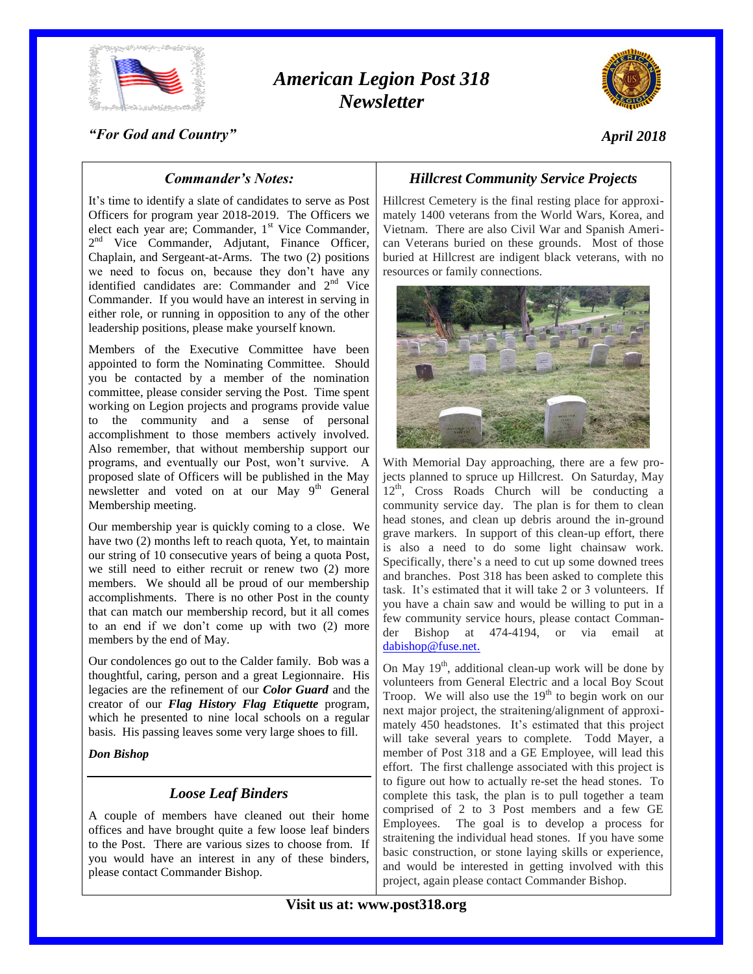

# *American Legion Post 318 Newsletter*



### *"For God and Country"*

# *April 2018*

### *Commander's Notes:*

It's time to identify a slate of candidates to serve as Post Officers for program year 2018-2019. The Officers we elect each year are; Commander,  $1<sup>st</sup>$  Vice Commander, 2<sup>nd</sup> Vice Commander, Adjutant, Finance Officer, Chaplain, and Sergeant-at-Arms. The two (2) positions we need to focus on, because they don't have any identified candidates are: Commander and  $2<sup>nd</sup>$  Vice Commander. If you would have an interest in serving in either role, or running in opposition to any of the other leadership positions, please make yourself known.

Members of the Executive Committee have been appointed to form the Nominating Committee. Should you be contacted by a member of the nomination committee, please consider serving the Post. Time spent working on Legion projects and programs provide value to the community and a sense of personal accomplishment to those members actively involved. Also remember, that without membership support our programs, and eventually our Post, won't survive. A proposed slate of Officers will be published in the May newsletter and voted on at our May  $9<sup>th</sup>$  General Membership meeting.

Our membership year is quickly coming to a close. We have two (2) months left to reach quota, Yet, to maintain our string of 10 consecutive years of being a quota Post, we still need to either recruit or renew two (2) more members. We should all be proud of our membership accomplishments. There is no other Post in the county that can match our membership record, but it all comes to an end if we don't come up with two (2) more members by the end of May.

Our condolences go out to the Calder family. Bob was a thoughtful, caring, person and a great Legionnaire. His legacies are the refinement of our *Color Guard* and the creator of our *Flag History Flag Etiquette* program, which he presented to nine local schools on a regular basis. His passing leaves some very large shoes to fill.

*Don Bishop*

## *Loose Leaf Binders*

A couple of members have cleaned out their home offices and have brought quite a few loose leaf binders to the Post. There are various sizes to choose from. If you would have an interest in any of these binders, please contact Commander Bishop.

# *Hillcrest Community Service Projects*

Hillcrest Cemetery is the final resting place for approximately 1400 veterans from the World Wars, Korea, and Vietnam. There are also Civil War and Spanish American Veterans buried on these grounds. Most of those buried at Hillcrest are indigent black veterans, with no resources or family connections.



With Memorial Day approaching, there are a few projects planned to spruce up Hillcrest. On Saturday, May  $12<sup>th</sup>$ , Cross Roads Church will be conducting a community service day. The plan is for them to clean head stones, and clean up debris around the in-ground grave markers. In support of this clean-up effort, there is also a need to do some light chainsaw work. Specifically, there's a need to cut up some downed trees and branches. Post 318 has been asked to complete this task. It's estimated that it will take 2 or 3 volunteers. If you have a chain saw and would be willing to put in a few community service hours, please contact Commander Bishop at 474-4194, or via email at [dabishop@fuse.net.](mailto:dabishop@fuse.net)

On May  $19<sup>th</sup>$ , additional clean-up work will be done by volunteers from General Electric and a local Boy Scout Troop. We will also use the  $19<sup>th</sup>$  to begin work on our next major project, the straitening/alignment of approximately 450 headstones. It's estimated that this project will take several years to complete. Todd Mayer, a member of Post 318 and a GE Employee, will lead this effort. The first challenge associated with this project is to figure out how to actually re-set the head stones. To complete this task, the plan is to pull together a team comprised of 2 to 3 Post members and a few GE Employees. The goal is to develop a process for straitening the individual head stones. If you have some basic construction, or stone laying skills or experience, and would be interested in getting involved with this project, again please contact Commander Bishop.

**Visit us at: www.post318.org**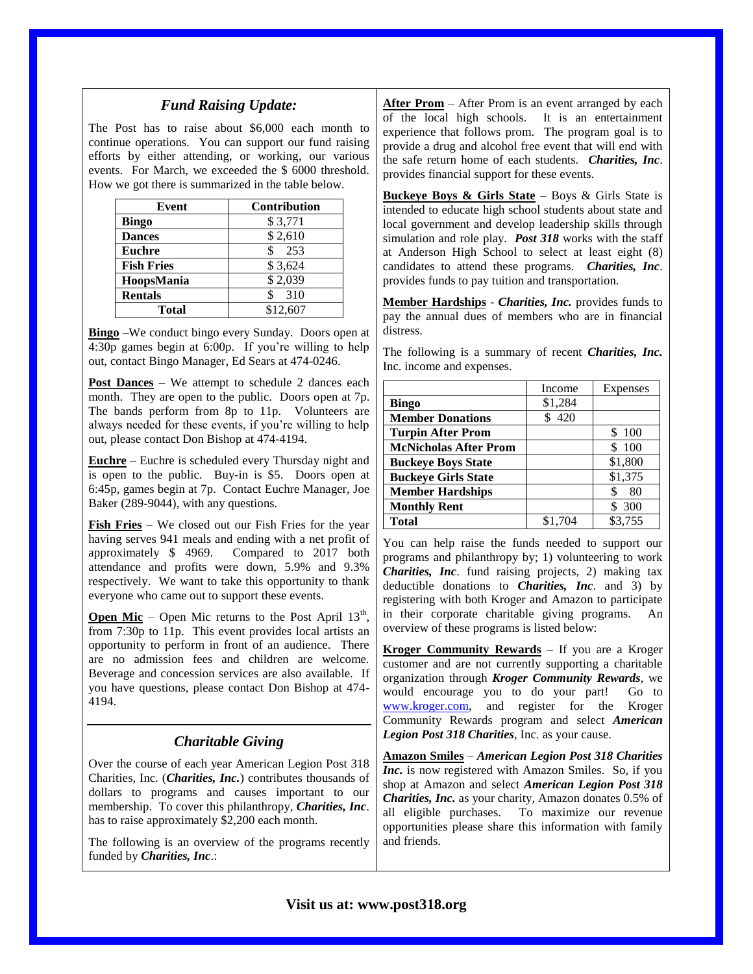### *Fund Raising Update:*

The Post has to raise about \$6,000 each month to continue operations. You can support our fund raising efforts by either attending, or working, our various events. For March, we exceeded the \$ 6000 threshold. How we got there is summarized in the table below.

| Event             | <b>Contribution</b> |
|-------------------|---------------------|
| <b>Bingo</b>      | \$3,771             |
| <b>Dances</b>     | \$2,610             |
| <b>Euchre</b>     | 253                 |
| <b>Fish Fries</b> | \$3,624             |
| HoopsMania        | \$2,039             |
| <b>Rentals</b>    | 310<br>\$           |
| Total             | \$12,607            |

**Bingo** –We conduct bingo every Sunday. Doors open at 4:30p games begin at 6:00p. If you're willing to help out, contact Bingo Manager, Ed Sears at 474-0246.

**Post Dances** – We attempt to schedule 2 dances each month. They are open to the public. Doors open at 7p. The bands perform from 8p to 11p. Volunteers are always needed for these events, if you're willing to help out, please contact Don Bishop at 474-4194.

**Euchre** – Euchre is scheduled every Thursday night and is open to the public. Buy-in is \$5. Doors open at 6:45p, games begin at 7p. Contact Euchre Manager, Joe Baker (289-9044), with any questions.

**Fish Fries** – We closed out our Fish Fries for the year having serves 941 meals and ending with a net profit of approximately \$ 4969. Compared to 2017 both attendance and profits were down, 5.9% and 9.3% respectively. We want to take this opportunity to thank everyone who came out to support these events.

**Open Mic** – Open Mic returns to the Post April  $13<sup>th</sup>$ , from 7:30p to 11p. This event provides local artists an opportunity to perform in front of an audience. There are no admission fees and children are welcome. Beverage and concession services are also available. If you have questions, please contact Don Bishop at 474- 4194.

## *Charitable Giving*

Over the course of each year American Legion Post 318 Charities, Inc. (*Charities, Inc.*) contributes thousands of dollars to programs and causes important to our membership. To cover this philanthropy, *Charities, Inc*. has to raise approximately \$2,200 each month.

The following is an overview of the programs recently funded by *Charities, Inc*.:

**After Prom** – After Prom is an event arranged by each of the local high schools. It is an entertainment experience that follows prom. The program goal is to provide a drug and alcohol free event that will end with the safe return home of each students. *Charities, Inc*. provides financial support for these events.

**Buckeye Boys & Girls State** – Boys & Girls State is intended to educate high school students about state and local government and develop leadership skills through simulation and role play. *Post 318* works with the staff at Anderson High School to select at least eight (8) candidates to attend these programs. *Charities, Inc*. provides funds to pay tuition and transportation.

**Member Hardships** - *Charities, Inc.* provides funds to pay the annual dues of members who are in financial distress.

The following is a summary of recent *Charities, Inc.* Inc. income and expenses.

|                              | Income  | Expenses |
|------------------------------|---------|----------|
| <b>Bingo</b>                 | \$1,284 |          |
| <b>Member Donations</b>      | \$420   |          |
| <b>Turpin After Prom</b>     |         | 100      |
| <b>McNicholas After Prom</b> |         | 100      |
| <b>Buckeye Boys State</b>    |         | \$1,800  |
| <b>Buckeye Girls State</b>   |         | \$1,375  |
| <b>Member Hardships</b>      |         | 80<br>S  |
| <b>Monthly Rent</b>          |         | 300      |
| <b>Total</b>                 | \$1,704 | \$3,755  |

You can help raise the funds needed to support our programs and philanthropy by; 1) volunteering to work *Charities, Inc*. fund raising projects, 2) making tax deductible donations to *Charities, Inc*. and 3) by registering with both Kroger and Amazon to participate in their corporate charitable giving programs. An overview of these programs is listed below:

**Kroger Community Rewards** – If you are a Kroger customer and are not currently supporting a charitable organization through *Kroger Community Rewards*, we would encourage you to do your part! Go to [www.kroger.com,](http://www.kroger.com/) and register for the Kroger Community Rewards program and select *American Legion Post 318 Charities*, Inc. as your cause.

**Amazon Smiles** – *American Legion Post 318 Charities Inc.* is now registered with Amazon Smiles. So, if you shop at Amazon and select *American Legion Post 318 Charities, Inc.* as your charity, Amazon donates 0.5% of all eligible purchases. To maximize our revenue opportunities please share this information with family and friends.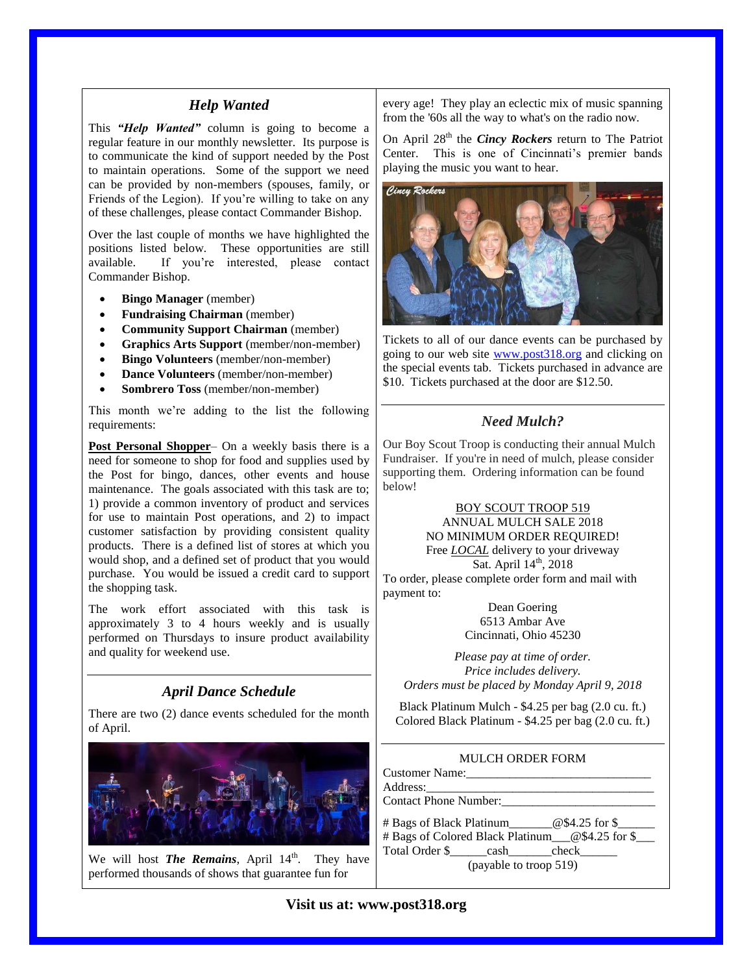### *Help Wanted*

This *"Help Wanted"* column is going to become a regular feature in our monthly newsletter. Its purpose is to communicate the kind of support needed by the Post to maintain operations. Some of the support we need can be provided by non-members (spouses, family, or Friends of the Legion). If you're willing to take on any of these challenges, please contact Commander Bishop.

Over the last couple of months we have highlighted the positions listed below. These opportunities are still available. If you're interested, please contact Commander Bishop.

- **Bingo Manager** (member)
- **Fundraising Chairman** (member)
- **Community Support Chairman** (member)
- **Graphics Arts Support** (member/non-member)
- **Bingo Volunteers** (member/non-member)
- **Dance Volunteers** (member/non-member)
- **Sombrero Toss** (member/non-member)

This month we're adding to the list the following requirements:

**Post Personal Shopper**– On a weekly basis there is a need for someone to shop for food and supplies used by the Post for bingo, dances, other events and house maintenance. The goals associated with this task are to; 1) provide a common inventory of product and services for use to maintain Post operations, and 2) to impact customer satisfaction by providing consistent quality products. There is a defined list of stores at which you would shop, and a defined set of product that you would purchase. You would be issued a credit card to support the shopping task.

The work effort associated with this task is approximately 3 to 4 hours weekly and is usually performed on Thursdays to insure product availability and quality for weekend use.

### *April Dance Schedule*

There are two (2) dance events scheduled for the month of April.



We will host **The Remains**, April 14<sup>th</sup>. They have performed thousands of shows that guarantee fun for

every age! They play an eclectic mix of music spanning from the '60s all the way to what's on the radio now.

On April 28<sup>th</sup> the *Cincy Rockers* return to The Patriot Center. This is one of Cincinnati's premier bands playing the music you want to hear.



Tickets to all of our dance events can be purchased by going to our web site [www.post318.org](http://www.post318.org/) and clicking on the special events tab. Tickets purchased in advance are \$10. Tickets purchased at the door are \$12.50.

# *Need Mulch?*

Our Boy Scout Troop is conducting their annual Mulch Fundraiser. If you're in need of mulch, please consider supporting them. Ordering information can be found below!

> BOY SCOUT TROOP 519 ANNUAL MULCH SALE 2018 NO MINIMUM ORDER REQUIRED! Free *LOCAL* delivery to your driveway

Sat. April  $14<sup>th</sup>$ , 2018

To order, please complete order form and mail with payment to:

> Dean Goering 6513 Ambar Ave Cincinnati, Ohio 45230

*Please pay at time of order. Price includes delivery. Orders must be placed by Monday April 9, 2018*

Black Platinum Mulch - \$4.25 per bag (2.0 cu. ft.) Colored Black Platinum - \$4.25 per bag (2.0 cu. ft.)

#### MULCH ORDER FORM

| $\#$ Bags of Black Platinum $@$4.25$ for \$         |  |  |  |  |  |
|-----------------------------------------------------|--|--|--|--|--|
| # Bags of Colored Black Platinum__@\$4.25 for \$___ |  |  |  |  |  |
| Total Order \$ cash check                           |  |  |  |  |  |
| (payable to troop 519)                              |  |  |  |  |  |

**Visit us at: www.post318.org**